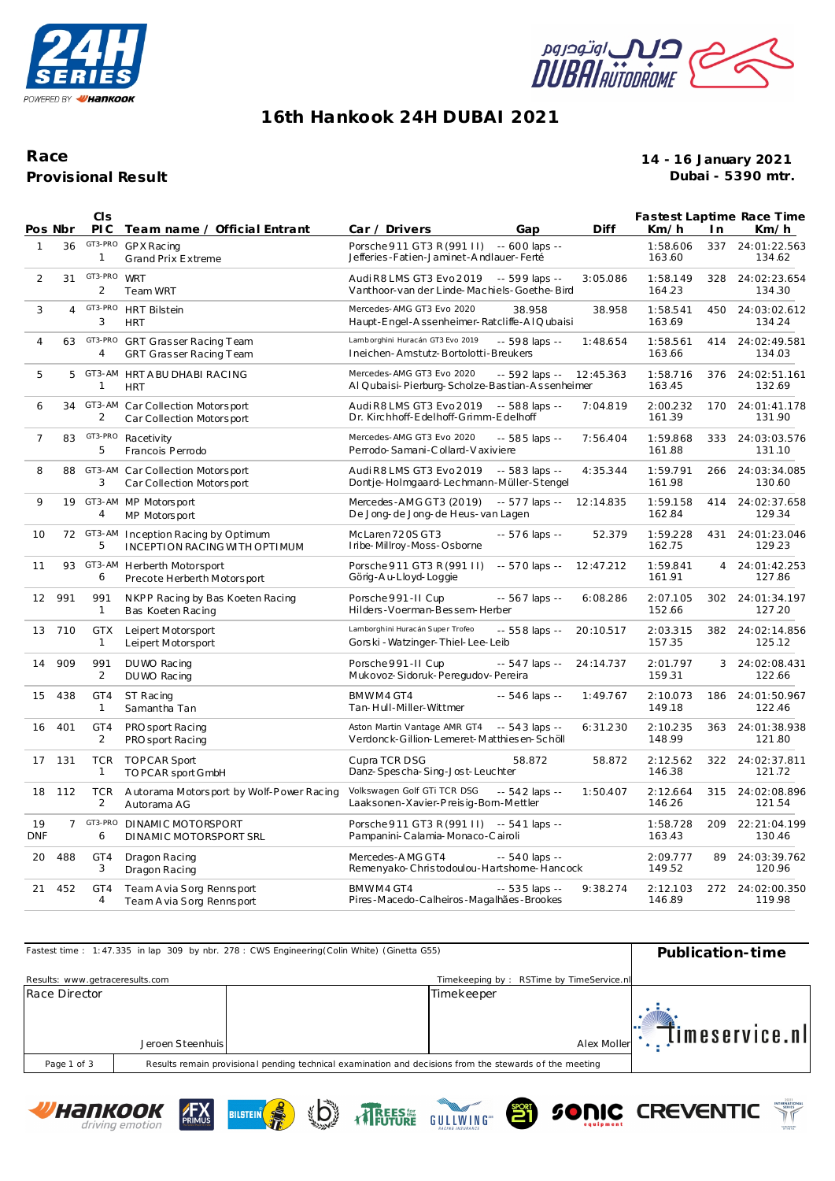



## **16th Hankook 24H DUBAI 2021**

### **Provisional Result Race**

#### **14 - 16 January 2021 Dubai - 5390 mtr.**

| Pos Nbr           |                | <b>CIS</b><br>PI C         | Team name / Official Entrant                                  | Car / Drivers<br>Gap                                                                           | Diff      | Km/h               | I n            | Fastest Laptime Race Time<br>Km/h |
|-------------------|----------------|----------------------------|---------------------------------------------------------------|------------------------------------------------------------------------------------------------|-----------|--------------------|----------------|-----------------------------------|
| $\mathbf{1}$      | 36             | GT3-PRO<br>1               | GP X Racing<br><b>Grand Prix Extreme</b>                      | Porsche 911 GT3 R (991 II) -- 600 laps --<br>Jefferies-Fatien-Jaminet-Andlauer-Ferté           |           | 1:58.606<br>163.60 | 337            | 24:01:22.563<br>134.62            |
| 2                 | 31             | GT3-PRO<br>2               | <b>WRT</b><br>Team WRT                                        | Audi R8 LMS GT3 Evo 2019 -- 599 laps --<br>Vanthoor-van der Linde-Machiels-Goethe-Bird         | 3:05.086  | 1:58.149<br>164.23 | 328            | 24:02:23.654<br>134.30            |
| 3                 | $\overline{4}$ | GT3-PRO<br>3               | <b>HRT Bilstein</b><br><b>HRT</b>                             | Mercedes-AMG GT3 Evo 2020<br>38.958<br>Haupt-Engel-Assenheimer-Ratcliffe-AIQubaisi             | 38.958    | 1:58.541<br>163.69 | 450            | 24:03:02.612<br>134.24            |
| $\overline{4}$    | 63             | GT3-PRO<br>4               | GRT Grasser Racing Team<br>GRT Grasser Racing Team            | Lamborghini Huracán GT3 Evo 2019<br>-- 598 laps --<br>Ineichen-Amstutz-Bortolotti-Breukers     | 1:48.654  | 1:58.561<br>163.66 | 414            | 24:02:49.581<br>134.03            |
| 5                 | 5              | GT3-AM<br>$\mathbf{1}$     | HRT A BU DHABI RACING<br><b>HRT</b>                           | Mercedes-AMG GT3 Evo 2020<br>-- 592 laps --<br>Al Qubaisi-Pierburg-Scholze-Bastian-Assenheimer | 12:45.363 | 1:58.716<br>163.45 | 376            | 24:02:51.161<br>132.69            |
| 6                 | 34             | 2                          | GT3-AM Car Collection Motorsport<br>Car Collection Motorsport | Audi R8 LMS GT3 Evo 2019<br>-- 588 laps --<br>Dr. Kirchhoff-Edelhoff-Grimm-Edelhoff            | 7:04.819  | 2:00.232<br>161.39 | 170            | 24:01:41.178<br>131.90            |
| 7                 | 83             | GT3-PRO<br>5               | Racetivity<br>Francois Perrodo                                | Mercedes-AMG GT3 Evo 2020<br>-- 585 laps --<br>Perrodo-Samani-Collard-Vaxiviere                | 7:56.404  | 1:59.868<br>161.88 |                | 333 24:03:03.576<br>131.10        |
| 8                 | 88             | GT3-AM<br>3                | Car Collection Motorsport<br>Car Collection Motorsport        | Audi R8 LMS GT3 Evo 2019<br>-- 583 laps --<br>Dontje-Holmgaard-Lechmann-Müller-Stengel         | 4:35.344  | 1:59.791<br>161.98 | 266            | 24:03:34.085<br>130.60            |
| 9                 |                | 4                          | 19 GT3-AM MP Motorsport<br>MP Motorsport                      | Mercedes-AMGGT3 (2019)<br>-- 577 laps --<br>De Jong-de Jong-de Heus-van Lagen                  | 12:14.835 | 1:59.158<br>162.84 | 414            | 24:02:37.658<br>129.34            |
| 10                |                | 72 GT3-AM<br>5             | Inception Racing by Optimum<br>INCEPTION RACING WITH OPTIMUM  | McLaren 720S GT3<br>-- 576 laps --<br>Iribe-Millroy-Moss-Osborne                               | 52.379    | 1:59.228<br>162.75 | 431            | 24:01:23.046<br>129.23            |
| 11                | 93             | 6                          | GT3-AM Herberth Motorsport<br>Precote Herberth Motorsport     | Porsche 911 GT3 R (991 II)<br>-- 570 laps --<br>Görig-Au-Lloyd-Loggie                          | 12:47.212 | 1:59.841<br>161.91 | $\overline{4}$ | 24:01:42.253<br>127.86            |
| $12 \overline{ }$ | 991            | 991<br>$\mathbf{1}$        | NKPP Racing by Bas Koeten Racing<br>Bas Koeten Racing         | Porsche 991-II Cup<br>$-567$ laps $-$<br>Hilders-Voerman-Bessem-Herber                         | 6:08.286  | 2:07.105<br>152.66 | 302            | 24:01:34.197<br>127.20            |
|                   | 13 710         | <b>GTX</b><br>$\mathbf{1}$ | Leipert Motorsport<br>Leipert Motorsport                      | Lamborghini Huracán Super Trofeo<br>-- 558 laps --<br>Gorski - Watzinger-Thiel-Lee-Leib        | 20:10.517 | 2:03.315<br>157.35 | 382            | 24:02:14.856<br>125.12            |
| 14                | 909            | 991<br>2                   | DU WO Racing<br>DU WO Racing                                  | Porsche 991-II Cup<br>$-547$ laps $-$<br>Mukovoz-Sidoruk-Peregudov-Pereira                     | 24:14.737 | 2:01.797<br>159.31 | 3              | 24:02:08.431<br>122.66            |
| 15                | 438            | GT4<br>1                   | ST Racing<br>Samantha Tan                                     | BMWM4 GT4<br>$-546$ laps $-$<br>Tan-Hull-Miller-Wittmer                                        | 1:49.767  | 2:10.073<br>149.18 | 186            | 24:01:50.967<br>122.46            |
| 16                | 401            | GT4<br>$\overline{2}$      | PRO sport Racing<br>PRO sport Racing                          | Aston Martin Vantage AMR GT4<br>$-543$ laps $-$<br>Verdonck-Gillion-Lemeret-Matthiesen-Schöll  | 6:31.230  | 2:10.235<br>148.99 | 363            | 24:01:38.938<br>121.80            |
| 17                | 131            | <b>TCR</b><br>$\mathbf{1}$ | <b>TOPCAR Sport</b><br>TO PCAR sport GmbH                     | Cupra TCR DSG<br>58.872<br>Danz-Spescha-Sing-Jost-Leuchter                                     | 58.872    | 2:12.562<br>146.38 |                | 322 24:02:37.811<br>121.72        |
| 18                | 112            | <b>TCR</b><br>2            | A utorama Motorsport by Wolf-Power Racing<br>Autorama AG      | Volkswagen Golf GTi TCR DSG<br>-- 542 laps --<br>Laaksonen-Xavier-Preisig-Bom-Mettler          | 1:50.407  | 2:12.664<br>146.26 |                | 315 24:02:08.896<br>121.54        |
| 19<br><b>DNF</b>  | $\overline{7}$ | GT3-PRO<br>6               | DINAMIC MOTORSPORT<br>DINAMIC MOTORSPORT SRL                  | Porsche 911 GT3 R (991 II) -- 541 laps --<br>Pampanini-Calamia-Monaco-Cairoli                  |           | 1:58.728<br>163.43 | 209            | 22:21:04.199<br>130.46            |
| 20                | 488            | GT4<br>3                   | Dragon Racing<br>Dragon Racing                                | Mercedes-AMG GT4<br>$-540$ laps $-$<br>Remenyako-Christodoulou-Hartshome-Hancock               |           | 2:09.777<br>149.52 | 89             | 24:03:39.762<br>120.96            |
| 21                | 452            | GT4<br>4                   | Team A via Sorg Rennsport<br>Team A via Sorg Rennsport        | BMWM4 GT4<br>$-535$ laps $-$<br>Pires-Macedo-Calheiros-Magalhães-Brookes                       | 9:38.274  | 2:12.103<br>146.89 | 272            | 24:02:00.350<br>119.98            |



**TREES!** 









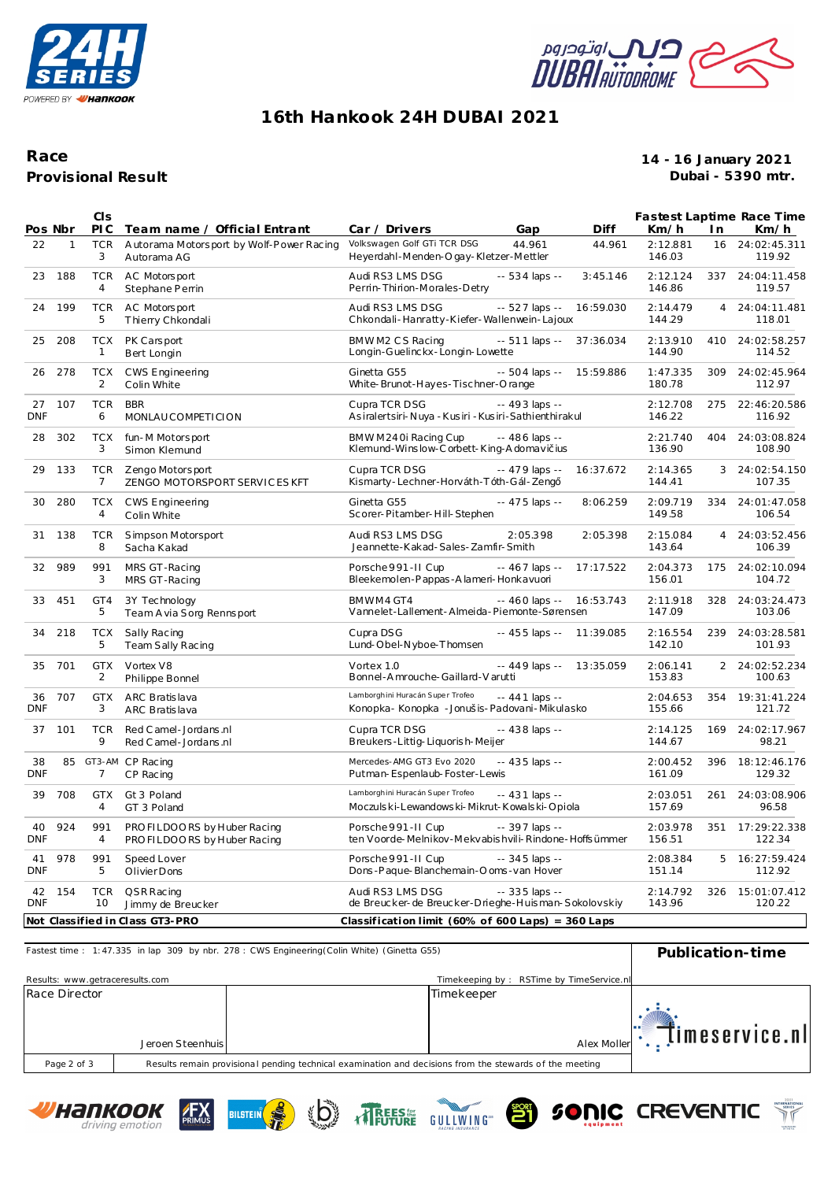



# **16th Hankook 24H DUBAI 2021**

### **Provisional Result Race**

#### **14 - 16 January 2021 Dubai - 5390 mtr.**

|                  |              | CIS                          |                                                                          |                                                                                   |                 |                |                    |                | Fastest Laptime Race Time  |
|------------------|--------------|------------------------------|--------------------------------------------------------------------------|-----------------------------------------------------------------------------------|-----------------|----------------|--------------------|----------------|----------------------------|
| Pos Nbr<br>22    | $\mathbf{1}$ | PI C<br><b>TCR</b>           | Team name / Official Entrant<br>Autorama Motorsport by Wolf-Power Racing | Car / Drivers<br>Volkswagen Golf GTi TCR DSG                                      | Gap<br>44.961   | Diff<br>44.961 | Km/h<br>2:12.881   | I n<br>16      | Km/h<br>24:02:45.311       |
|                  |              | 3                            | Autorama AG                                                              | Heyerdahl-Menden-Ogay-Kletzer-Mettler                                             |                 |                | 146.03             |                | 119.92                     |
| 23               | 188          | <b>TCR</b><br>$\overline{4}$ | AC Motorsport<br>Stephane Perrin                                         | Audi RS3 LMS DSG<br>Perrin-Thirion-Morales-Detry                                  | -- 534 laps --  | 3:45.146       | 2:12.124<br>146.86 | 337            | 24:04:11.458<br>119.57     |
| 24               | 199          | <b>TCR</b><br>5              | AC Motors port<br>Thierry Chkondali                                      | Audi RS3 LMS DSG<br>Chkondali-Hanratty-Kiefer-Wallenwein-Lajoux                   | -- 527 laps --  | 16:59.030      | 2:14.479<br>144.29 | $\overline{4}$ | 24:04:11.481<br>118.01     |
| 25               | 208          | <b>TCX</b><br>$\mathbf{1}$   | PK Carsport<br>Bert Longin                                               | BMWM2 CS Racing<br>Longin-Guelinckx-Longin-Lowette                                | $-511$ laps $-$ | 37:36.034      | 2:13.910<br>144.90 | 410            | 24:02:58.257<br>114.52     |
| 26               | 278          | <b>TCX</b><br>2              | <b>CWS Engineering</b><br>Colin White                                    | Ginetta G55<br>White-Brunot-Hayes-Tischner-Orange                                 | -- 504 laps --  | 15:59.886      | 1:47.335<br>180.78 | 309            | 24:02:45.964<br>112.97     |
| 27<br><b>DNF</b> | 107          | <b>TCR</b><br>6              | <b>BBR</b><br>MONLAUCOMPETICION                                          | Cupra TCR DSG<br>Asiralertsiri-Nuya - Kusiri - Kusiri-Sathienthirakul             | -- 493 laps --  |                | 2:12.708<br>146.22 | 275            | 22:46:20.586<br>116.92     |
| 28               | 302          | <b>TCX</b><br>3              | fun-M Motorsport<br>Simon Klemund                                        | BMWM240i Racing Cup<br>Klemund-Winslow-Corbett-King-Adomavi ius                   | -- 486 laps --  |                | 2:21.740<br>136.90 | 404            | 24:03:08.824<br>108.90     |
| 29               | 133          | <b>TCR</b><br>7              | Zengo Motorsport<br>ZENGO MOTORSPORT SERVICES KFT                        | Cupra TCR DSG<br>Kismarty-Lechner-Horváth-Tóth-Gál-Zeng                           | $-479$ laps $-$ | 16:37.672      | 2:14.365<br>144.41 | 3              | 24:02:54.150<br>107.35     |
| 30               | 280          | <b>TCX</b><br>4              | <b>CWS Engineering</b><br>Colin White                                    | Ginetta G55<br>Scorer-Pitamber-Hill-Stephen                                       | -- 475 laps --  | 8:06.259       | 2:09.719<br>149.58 |                | 334 24:01:47.058<br>106.54 |
| 31               | 138          | <b>TCR</b><br>8              | Simpson Motorsport<br>Sacha Kakad                                        | Audi RS3 LMS DSG<br>Jeannette-Kakad-Sales-Zamfir-Smith                            | 2:05.398        | 2:05.398       | 2:15.084<br>143.64 | $\overline{4}$ | 24:03:52.456<br>106.39     |
| 32               | 989          | 991<br>3                     | MRS GT-Racing<br>MRS GT-Racing                                           | Porsche 991-II Cup<br>Bleekemolen-Pappas-Alameri-Honkavuori                       | $-467$ laps $-$ | 17:17.522      | 2:04.373<br>156.01 | 175            | 24:02:10.094<br>104.72     |
| 33               | 451          | GT4<br>5                     | 3Y Technology<br>Team A via Sorg Rennsport                               | BMWM4 GT4<br>Vannelet-Lallement-Almeida-Piemonte-Sørensen                         | $-460$ laps $-$ | 16:53.743      | 2:11.918<br>147.09 | 328            | 24:03:24.473<br>103.06     |
| 34               | 218          | <b>TCX</b><br>5              | Sally Racing<br>Team Sally Racing                                        | Cupra DSG<br>Lund-Obel-Nyboe-Thomsen                                              | -- 455 laps --  | 11:39.085      | 2:16.554<br>142.10 | 239            | 24:03:28.581<br>101.93     |
| 35               | 701          | <b>GTX</b><br>2              | Vortex V8<br>Philippe Bonnel                                             | Vortex 1.0<br>Bonnel-Amrouche-Gaillard-Varutti                                    | $-449$ laps $-$ | 13:35.059      | 2:06.141<br>153.83 |                | 2 24:02:52.234<br>100.63   |
| 36<br><b>DNF</b> | 707          | <b>GTX</b><br>3              | ARC Bratislava<br>ARC Bratislava                                         | Lamborghini Huracán Super Trofeo<br>Konopka- Konopka - Jonušis-Padovani-Mikulasko | -- 441 laps --  |                | 2:04.653<br>155.66 | 354            | 19:31:41.224<br>121.72     |
| 37               | 101          | <b>TCR</b><br>9              | Red C amel - Jordans .nl<br>Red C amel - Jordans .nl                     | Cupra TCR DSG<br>Breukers-Littig-Liquorish-Meijer                                 | -- 438 laps --  |                | 2:14.125<br>144.67 | 169            | 24:02:17.967<br>98.21      |
| 38<br><b>DNF</b> | 85           | GT3-AM<br>7                  | CP Racing<br>CP Racing                                                   | Mercedes-AMG GT3 Evo 2020<br>Putman-Espenlaub-Foster-Lewis                        | $-435$ laps $-$ |                | 2:00.452<br>161.09 | 396            | 18:12:46.176<br>129.32     |
| 39               | 708          | <b>GTX</b><br>$\overline{4}$ | Gt 3 Poland<br>GT 3 Poland                                               | Lamborghini Huracán Super Trofeo<br>Moczulski-Lewandowski-Mikrut-Kowalski-Opiola  | -- 431 laps --  |                | 2:03.051<br>157.69 | 261            | 24:03:08.906<br>96.58      |
| 40<br><b>DNF</b> | 924          | 991<br>$\overline{4}$        | PRO FILDOORS by Huber Racing<br>PRO FILDOORS by Huber Racing             | Porsche 991-II Cup<br>ten Voorde-Melnikov-Mekvabishvili-Rindone-Hoffsümmer        | -- 397 laps --  |                | 2:03.978<br>156.51 | 351            | 17:29:22.338<br>122.34     |
| 41<br><b>DNF</b> | 978          | 991<br>5                     | Speed Lover<br>Olivier Dons                                              | Porsche 991-II Cup<br>Dons-Paque-Blanchemain-O oms-van Hover                      | $-345$ laps $-$ |                | 2:08.384<br>151.14 | 5              | 16:27:59.424<br>112.92     |
| 42<br><b>DNF</b> | 154          | <b>TCR</b><br>10             | QSRRacing<br>Jimmy de Breucker                                           | Audi RS3 LMS DSG<br>de Breucker-de Breucker-Drieghe-Huisman-Sokolovskiy           | $-335$ laps $-$ |                | 2:14.792<br>143.96 | 326            | 15:01:07.412<br>120.22     |
|                  |              |                              | Not Classified in Class GT3-PRO                                          | Classification limit (60% of 600 Laps) = $360$ Laps                               |                 |                |                    |                |                            |

| Fastest time: 1:47.335 in lap 309 by nbr. 278 : CWS Engineering (Colin White) (Ginetta G55) | Publication-time |                                                                                                         |                                          |                       |
|---------------------------------------------------------------------------------------------|------------------|---------------------------------------------------------------------------------------------------------|------------------------------------------|-----------------------|
| Results: www.getraceresults.com                                                             |                  |                                                                                                         | Timekeeping by: RSTime by TimeService.nl |                       |
| Race Director                                                                               |                  |                                                                                                         | Timekeeper                               |                       |
|                                                                                             |                  |                                                                                                         |                                          |                       |
|                                                                                             |                  |                                                                                                         |                                          | . .<br>Ţimeservice.nl |
|                                                                                             | Jeroen Steenhuis |                                                                                                         | Alex Moller                              |                       |
| Page 2 of 3                                                                                 |                  | Results remain provisional pending technical examination and decisions from the stewards of the meeting |                                          |                       |